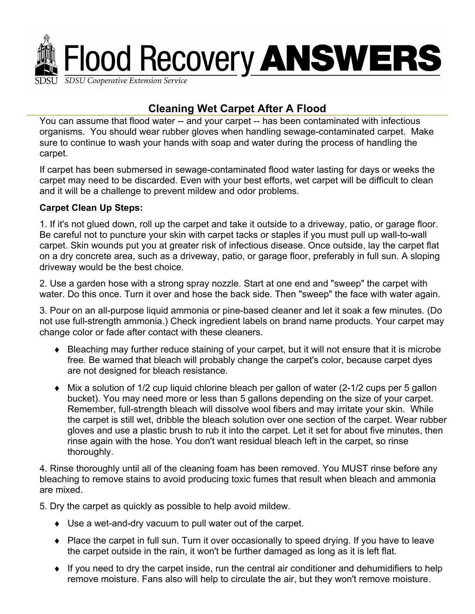

# **Cleaning Wet Carpet After A Flood**

You can assume that flood water -- and your carpet -- has been contaminated with infectious organisms. You should wear rubber gloves when handling sewage-contaminated carpet. Make sure to continue to wash your hands with soap and water during the process of handling the carpet.

If carpet has been submersed in sewage-contaminated flood water lasting for days or weeks the carpet may need to be discarded. Even with your best efforts, wet carpet will be difficult to clean and it will be a challenge to prevent mildew and odor problems.

### **Carpet Clean Up Steps:**

1. If it's not glued down, roll up the carpet and take it outside to a driveway, patio, or garage floor. Be careful not to puncture your skin with carpet tacks or staples if you must pull up wall-to-wall carpet. Skin wounds put you at greater risk of infectious disease. Once outside, lay the carpet flat on a dry concrete area, such as a driveway, patio, or garage floor, preferably in full sun. A sloping driveway would be the best choice.

2. Use a garden hose with a strong spray nozzle. Start at one end and "sweep" the carpet with water. Do this once. Turn it over and hose the back side. Then "sweep" the face with water again.

3. Pour on an all-purpose liquid ammonia or pine-based cleaner and let it soak a few minutes. (Do not use full-strength ammonia.) Check ingredient labels on brand name products. Your carpet may change color or fade after contact with these cleaners.

- ♦ Bleaching may further reduce staining of your carpet, but it will not ensure that it is microbe free. Be warned that bleach will probably change the carpet's color, because carpet dyes are not designed for bleach resistance.
- ♦ Mix a solution of 1/2 cup liquid chlorine bleach per gallon of water (2-1/2 cups per 5 gallon bucket). You may need more or less than 5 gallons depending on the size of your carpet. Remember, full-strength bleach will dissolve wool fibers and may irritate your skin. While the carpet is still wet, dribble the bleach solution over one section of the carpet. Wear rubber gloves and use a plastic brush to rub it into the carpet. Let it set for about five minutes, then rinse again with the hose. You don't want residual bleach left in the carpet, so rinse thoroughly.

4. Rinse thoroughly until all of the cleaning foam has been removed. You MUST rinse before any bleaching to remove stains to avoid producing toxic fumes that result when bleach and ammonia are mixed.

5. Dry the carpet as quickly as possible to help avoid mildew.

- ♦ Use a wet-and-dry vacuum to pull water out of the carpet.
- ♦ Place the carpet in full sun. Turn it over occasionally to speed drying. If you have to leave the carpet outside in the rain, it won't be further damaged as long as it is left flat.
- ♦ If you need to dry the carpet inside, run the central air conditioner and dehumidifiers to help remove moisture. Fans also will help to circulate the air, but they won't remove moisture.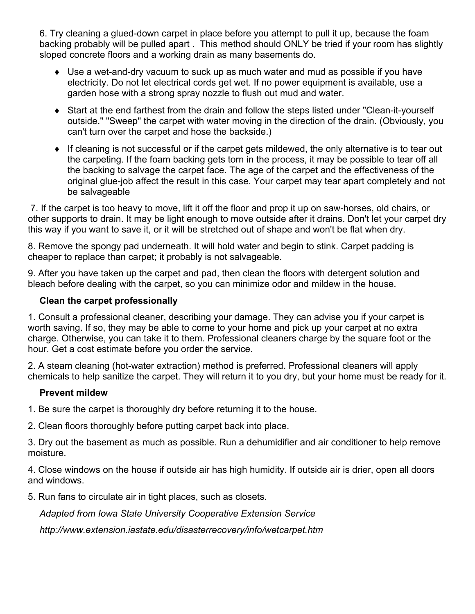6. Try cleaning a glued-down carpet in place before you attempt to pull it up, because the foam backing probably will be pulled apart . This method should ONLY be tried if your room has slightly sloped concrete floors and a working drain as many basements do.

- ♦ Use a wet-and-dry vacuum to suck up as much water and mud as possible if you have electricity. Do not let electrical cords get wet. If no power equipment is available, use a garden hose with a strong spray nozzle to flush out mud and water.
- ♦ Start at the end farthest from the drain and follow the steps listed under "Clean-it-yourself outside." "Sweep" the carpet with water moving in the direction of the drain. (Obviously, you can't turn over the carpet and hose the backside.)
- ♦ If cleaning is not successful or if the carpet gets mildewed, the only alternative is to tear out the carpeting. If the foam backing gets torn in the process, it may be possible to tear off all the backing to salvage the carpet face. The age of the carpet and the effectiveness of the original glue-job affect the result in this case. Your carpet may tear apart completely and not be salvageable

 7. If the carpet is too heavy to move, lift it off the floor and prop it up on saw-horses, old chairs, or other supports to drain. It may be light enough to move outside after it drains. Don't let your carpet dry this way if you want to save it, or it will be stretched out of shape and won't be flat when dry.

8. Remove the spongy pad underneath. It will hold water and begin to stink. Carpet padding is cheaper to replace than carpet; it probably is not salvageable.

9. After you have taken up the carpet and pad, then clean the floors with detergent solution and bleach before dealing with the carpet, so you can minimize odor and mildew in the house.

### **Clean the carpet professionally**

1. Consult a professional cleaner, describing your damage. They can advise you if your carpet is worth saving. If so, they may be able to come to your home and pick up your carpet at no extra charge. Otherwise, you can take it to them. Professional cleaners charge by the square foot or the hour. Get a cost estimate before you order the service.

2. A steam cleaning (hot-water extraction) method is preferred. Professional cleaners will apply chemicals to help sanitize the carpet. They will return it to you dry, but your home must be ready for it.

#### **Prevent mildew**

1. Be sure the carpet is thoroughly dry before returning it to the house.

2. Clean floors thoroughly before putting carpet back into place.

3. Dry out the basement as much as possible. Run a dehumidifier and air conditioner to help remove moisture.

4. Close windows on the house if outside air has high humidity. If outside air is drier, open all doors and windows.

5. Run fans to circulate air in tight places, such as closets.

*Adapted from Iowa State University Cooperative Extension Service* 

*http://www.extension.iastate.edu/disasterrecovery/info/wetcarpet.htm*